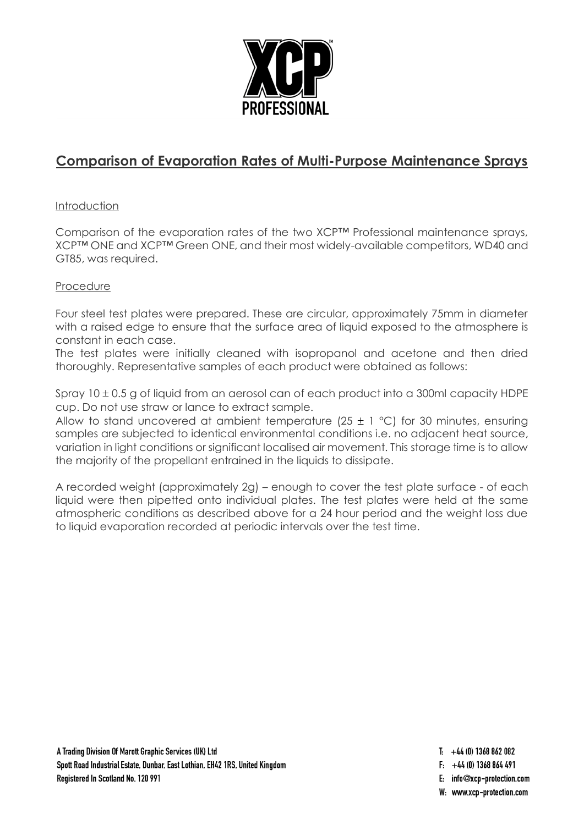

# **Comparison of Evaporation Rates of Multi-Purpose Maintenance Sprays**

# Introduction

Comparison of the evaporation rates of the two XCP™ Professional maintenance sprays, XCP™ ONE and XCP™ Green ONE, and their most widely-available competitors, WD40 and GT85, was required.

### Procedure

Four steel test plates were prepared. These are circular, approximately 75mm in diameter with a raised edge to ensure that the surface area of liquid exposed to the atmosphere is constant in each case.

The test plates were initially cleaned with isopropanol and acetone and then dried thoroughly. Representative samples of each product were obtained as follows:

Spray  $10 \pm 0.5$  g of liquid from an aerosol can of each product into a 300ml capacity HDPE cup. Do not use straw or lance to extract sample.

Allow to stand uncovered at ambient temperature (25  $\pm$  1 °C) for 30 minutes, ensuring samples are subjected to identical environmental conditions i.e. no adjacent heat source, variation in light conditions or significant localised air movement. This storage time is to allow the majority of the propellant entrained in the liquids to dissipate.

A recorded weight (approximately 2g) – enough to cover the test plate surface - of each liquid were then pipetted onto individual plates. The test plates were held at the same atmospheric conditions as described above for a 24 hour period and the weight loss due to liquid evaporation recorded at periodic intervals over the test time.

- $T_1$  +44 (0) 1368 862 082
- $F: +44(0)$  1368 864 491
- E: info@xcp-protection.com
- W: www.xcp-protection.com